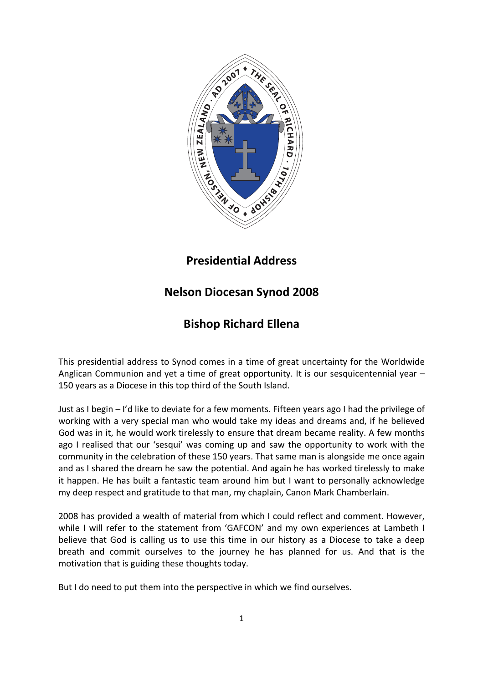

# Presidential Address

# Nelson Diocesan Synod 2008

# Bishop Richard Ellena

This presidential address to Synod comes in a time of great uncertainty for the Worldwide Anglican Communion and yet a time of great opportunity. It is our sesquicentennial year – 150 years as a Diocese in this top third of the South Island.

Just as I begin – I'd like to deviate for a few moments. Fifteen years ago I had the privilege of working with a very special man who would take my ideas and dreams and, if he believed God was in it, he would work tirelessly to ensure that dream became reality. A few months ago I realised that our 'sesqui' was coming up and saw the opportunity to work with the community in the celebration of these 150 years. That same man is alongside me once again and as I shared the dream he saw the potential. And again he has worked tirelessly to make it happen. He has built a fantastic team around him but I want to personally acknowledge my deep respect and gratitude to that man, my chaplain, Canon Mark Chamberlain.

2008 has provided a wealth of material from which I could reflect and comment. However, while I will refer to the statement from 'GAFCON' and my own experiences at Lambeth I believe that God is calling us to use this time in our history as a Diocese to take a deep breath and commit ourselves to the journey he has planned for us. And that is the motivation that is guiding these thoughts today.

But I do need to put them into the perspective in which we find ourselves.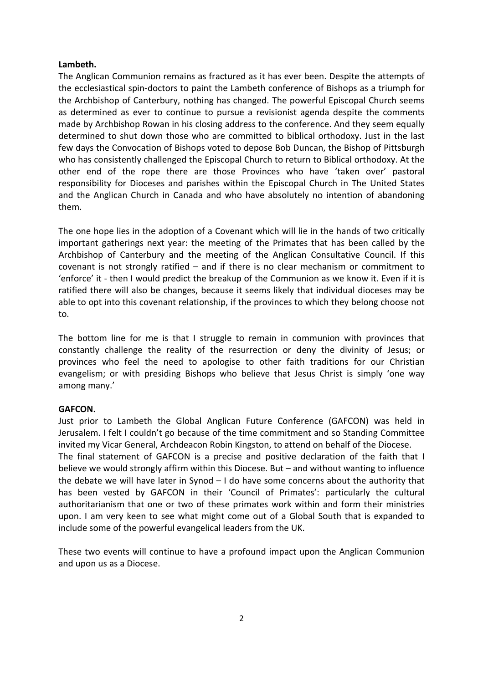# Lambeth.

The Anglican Communion remains as fractured as it has ever been. Despite the attempts of the ecclesiastical spin-doctors to paint the Lambeth conference of Bishops as a triumph for the Archbishop of Canterbury, nothing has changed. The powerful Episcopal Church seems as determined as ever to continue to pursue a revisionist agenda despite the comments made by Archbishop Rowan in his closing address to the conference. And they seem equally determined to shut down those who are committed to biblical orthodoxy. Just in the last few days the Convocation of Bishops voted to depose Bob Duncan, the Bishop of Pittsburgh who has consistently challenged the Episcopal Church to return to Biblical orthodoxy. At the other end of the rope there are those Provinces who have 'taken over' pastoral responsibility for Dioceses and parishes within the Episcopal Church in The United States and the Anglican Church in Canada and who have absolutely no intention of abandoning them.

The one hope lies in the adoption of a Covenant which will lie in the hands of two critically important gatherings next year: the meeting of the Primates that has been called by the Archbishop of Canterbury and the meeting of the Anglican Consultative Council. If this covenant is not strongly ratified – and if there is no clear mechanism or commitment to 'enforce' it - then I would predict the breakup of the Communion as we know it. Even if it is ratified there will also be changes, because it seems likely that individual dioceses may be able to opt into this covenant relationship, if the provinces to which they belong choose not to.

The bottom line for me is that I struggle to remain in communion with provinces that constantly challenge the reality of the resurrection or deny the divinity of Jesus; or provinces who feel the need to apologise to other faith traditions for our Christian evangelism; or with presiding Bishops who believe that Jesus Christ is simply 'one way among many.'

## GAFCON.

Just prior to Lambeth the Global Anglican Future Conference (GAFCON) was held in Jerusalem. I felt I couldn't go because of the time commitment and so Standing Committee invited my Vicar General, Archdeacon Robin Kingston, to attend on behalf of the Diocese. The final statement of GAFCON is a precise and positive declaration of the faith that I believe we would strongly affirm within this Diocese. But – and without wanting to influence the debate we will have later in Synod – I do have some concerns about the authority that has been vested by GAFCON in their 'Council of Primates': particularly the cultural authoritarianism that one or two of these primates work within and form their ministries upon. I am very keen to see what might come out of a Global South that is expanded to include some of the powerful evangelical leaders from the UK.

These two events will continue to have a profound impact upon the Anglican Communion and upon us as a Diocese.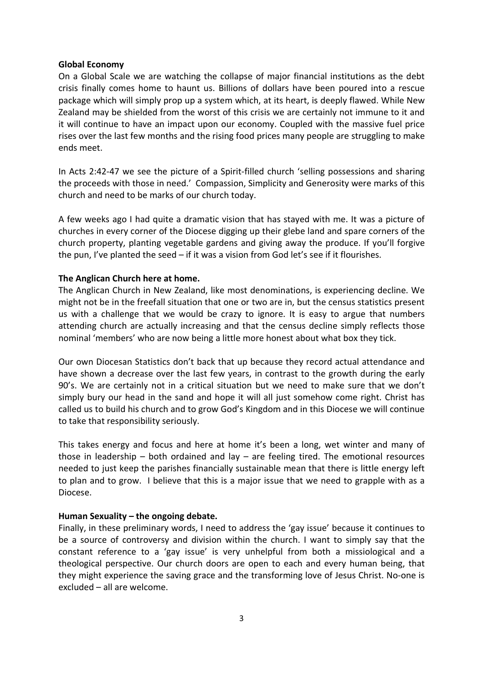#### Global Economy

On a Global Scale we are watching the collapse of major financial institutions as the debt crisis finally comes home to haunt us. Billions of dollars have been poured into a rescue package which will simply prop up a system which, at its heart, is deeply flawed. While New Zealand may be shielded from the worst of this crisis we are certainly not immune to it and it will continue to have an impact upon our economy. Coupled with the massive fuel price rises over the last few months and the rising food prices many people are struggling to make ends meet.

In Acts 2:42-47 we see the picture of a Spirit-filled church 'selling possessions and sharing the proceeds with those in need.' Compassion, Simplicity and Generosity were marks of this church and need to be marks of our church today.

A few weeks ago I had quite a dramatic vision that has stayed with me. It was a picture of churches in every corner of the Diocese digging up their glebe land and spare corners of the church property, planting vegetable gardens and giving away the produce. If you'll forgive the pun, I've planted the seed – if it was a vision from God let's see if it flourishes.

## The Anglican Church here at home.

The Anglican Church in New Zealand, like most denominations, is experiencing decline. We might not be in the freefall situation that one or two are in, but the census statistics present us with a challenge that we would be crazy to ignore. It is easy to argue that numbers attending church are actually increasing and that the census decline simply reflects those nominal 'members' who are now being a little more honest about what box they tick.

Our own Diocesan Statistics don't back that up because they record actual attendance and have shown a decrease over the last few years, in contrast to the growth during the early 90's. We are certainly not in a critical situation but we need to make sure that we don't simply bury our head in the sand and hope it will all just somehow come right. Christ has called us to build his church and to grow God's Kingdom and in this Diocese we will continue to take that responsibility seriously.

This takes energy and focus and here at home it's been a long, wet winter and many of those in leadership  $-$  both ordained and lay  $-$  are feeling tired. The emotional resources needed to just keep the parishes financially sustainable mean that there is little energy left to plan and to grow. I believe that this is a major issue that we need to grapple with as a Diocese.

## Human Sexuality – the ongoing debate.

Finally, in these preliminary words, I need to address the 'gay issue' because it continues to be a source of controversy and division within the church. I want to simply say that the constant reference to a 'gay issue' is very unhelpful from both a missiological and a theological perspective. Our church doors are open to each and every human being, that they might experience the saving grace and the transforming love of Jesus Christ. No-one is excluded – all are welcome.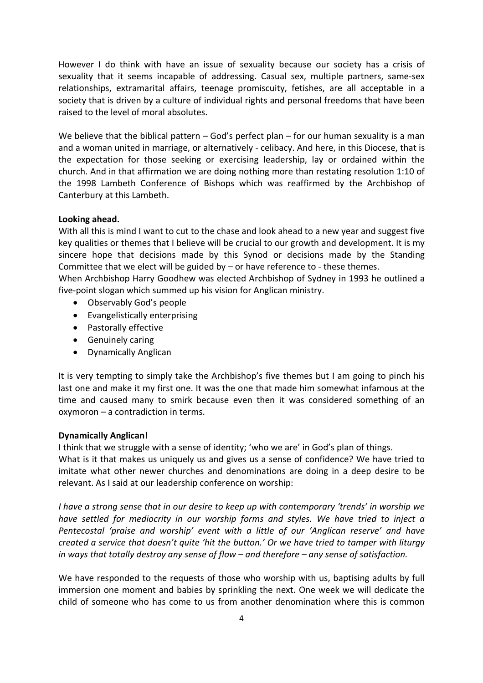However I do think with have an issue of sexuality because our society has a crisis of sexuality that it seems incapable of addressing. Casual sex, multiple partners, same-sex relationships, extramarital affairs, teenage promiscuity, fetishes, are all acceptable in a society that is driven by a culture of individual rights and personal freedoms that have been raised to the level of moral absolutes.

We believe that the biblical pattern – God's perfect plan – for our human sexuality is a man and a woman united in marriage, or alternatively - celibacy. And here, in this Diocese, that is the expectation for those seeking or exercising leadership, lay or ordained within the church. And in that affirmation we are doing nothing more than restating resolution 1:10 of the 1998 Lambeth Conference of Bishops which was reaffirmed by the Archbishop of Canterbury at this Lambeth.

# Looking ahead.

With all this is mind I want to cut to the chase and look ahead to a new year and suggest five key qualities or themes that I believe will be crucial to our growth and development. It is my sincere hope that decisions made by this Synod or decisions made by the Standing Committee that we elect will be guided by  $-$  or have reference to - these themes.

When Archbishop Harry Goodhew was elected Archbishop of Sydney in 1993 he outlined a five-point slogan which summed up his vision for Anglican ministry.

- Observably God's people
- Evangelistically enterprising
- Pastorally effective
- Genuinely caring
- Dynamically Anglican

It is very tempting to simply take the Archbishop's five themes but I am going to pinch his last one and make it my first one. It was the one that made him somewhat infamous at the time and caused many to smirk because even then it was considered something of an oxymoron – a contradiction in terms.

## Dynamically Anglican!

I think that we struggle with a sense of identity; 'who we are' in God's plan of things.

What is it that makes us uniquely us and gives us a sense of confidence? We have tried to imitate what other newer churches and denominations are doing in a deep desire to be relevant. As I said at our leadership conference on worship:

I have a strong sense that in our desire to keep up with contemporary 'trends' in worship we have settled for mediocrity in our worship forms and styles. We have tried to inject a Pentecostal 'praise and worship' event with a little of our 'Anglican reserve' and have created a service that doesn't quite 'hit the button.' Or we have tried to tamper with liturgy in ways that totally destroy any sense of flow – and therefore – any sense of satisfaction.

We have responded to the requests of those who worship with us, baptising adults by full immersion one moment and babies by sprinkling the next. One week we will dedicate the child of someone who has come to us from another denomination where this is common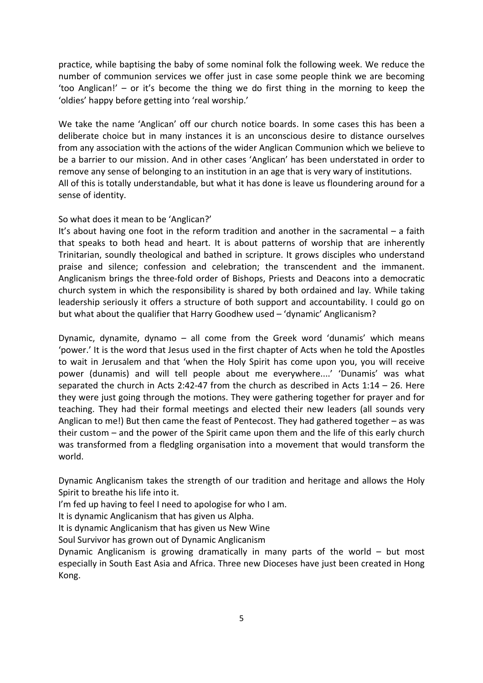practice, while baptising the baby of some nominal folk the following week. We reduce the number of communion services we offer just in case some people think we are becoming 'too Anglican!' – or it's become the thing we do first thing in the morning to keep the 'oldies' happy before getting into 'real worship.'

We take the name 'Anglican' off our church notice boards. In some cases this has been a deliberate choice but in many instances it is an unconscious desire to distance ourselves from any association with the actions of the wider Anglican Communion which we believe to be a barrier to our mission. And in other cases 'Anglican' has been understated in order to remove any sense of belonging to an institution in an age that is very wary of institutions. All of this is totally understandable, but what it has done is leave us floundering around for a sense of identity.

# So what does it mean to be 'Anglican?'

It's about having one foot in the reform tradition and another in the sacramental – a faith that speaks to both head and heart. It is about patterns of worship that are inherently Trinitarian, soundly theological and bathed in scripture. It grows disciples who understand praise and silence; confession and celebration; the transcendent and the immanent. Anglicanism brings the three-fold order of Bishops, Priests and Deacons into a democratic church system in which the responsibility is shared by both ordained and lay. While taking leadership seriously it offers a structure of both support and accountability. I could go on but what about the qualifier that Harry Goodhew used – 'dynamic' Anglicanism?

Dynamic, dynamite, dynamo – all come from the Greek word 'dunamis' which means 'power.' It is the word that Jesus used in the first chapter of Acts when he told the Apostles to wait in Jerusalem and that 'when the Holy Spirit has come upon you, you will receive power (dunamis) and will tell people about me everywhere....' 'Dunamis' was what separated the church in Acts 2:42-47 from the church as described in Acts 1:14 – 26. Here they were just going through the motions. They were gathering together for prayer and for teaching. They had their formal meetings and elected their new leaders (all sounds very Anglican to me!) But then came the feast of Pentecost. They had gathered together – as was their custom – and the power of the Spirit came upon them and the life of this early church was transformed from a fledgling organisation into a movement that would transform the world.

Dynamic Anglicanism takes the strength of our tradition and heritage and allows the Holy Spirit to breathe his life into it.

I'm fed up having to feel I need to apologise for who I am.

It is dynamic Anglicanism that has given us Alpha.

It is dynamic Anglicanism that has given us New Wine

Soul Survivor has grown out of Dynamic Anglicanism

Dynamic Anglicanism is growing dramatically in many parts of the world – but most especially in South East Asia and Africa. Three new Dioceses have just been created in Hong Kong.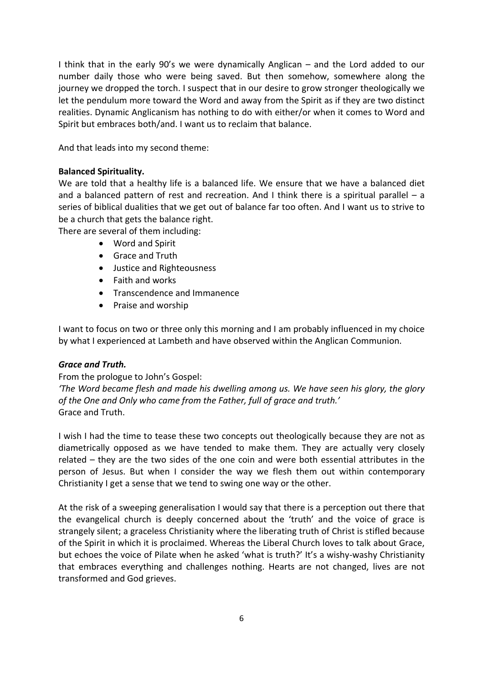I think that in the early 90's we were dynamically Anglican – and the Lord added to our number daily those who were being saved. But then somehow, somewhere along the journey we dropped the torch. I suspect that in our desire to grow stronger theologically we let the pendulum more toward the Word and away from the Spirit as if they are two distinct realities. Dynamic Anglicanism has nothing to do with either/or when it comes to Word and Spirit but embraces both/and. I want us to reclaim that balance.

And that leads into my second theme:

# Balanced Spirituality.

We are told that a healthy life is a balanced life. We ensure that we have a balanced diet and a balanced pattern of rest and recreation. And I think there is a spiritual parallel  $-$  a series of biblical dualities that we get out of balance far too often. And I want us to strive to be a church that gets the balance right.

There are several of them including:

- Word and Spirit
- Grace and Truth
- Justice and Righteousness
- Faith and works
- Transcendence and Immanence
- Praise and worship

I want to focus on two or three only this morning and I am probably influenced in my choice by what I experienced at Lambeth and have observed within the Anglican Communion.

# Grace and Truth.

From the prologue to John's Gospel:

'The Word became flesh and made his dwelling among us. We have seen his glory, the glory of the One and Only who came from the Father, full of grace and truth.' Grace and Truth.

I wish I had the time to tease these two concepts out theologically because they are not as diametrically opposed as we have tended to make them. They are actually very closely related – they are the two sides of the one coin and were both essential attributes in the person of Jesus. But when I consider the way we flesh them out within contemporary Christianity I get a sense that we tend to swing one way or the other.

At the risk of a sweeping generalisation I would say that there is a perception out there that the evangelical church is deeply concerned about the 'truth' and the voice of grace is strangely silent; a graceless Christianity where the liberating truth of Christ is stifled because of the Spirit in which it is proclaimed. Whereas the Liberal Church loves to talk about Grace, but echoes the voice of Pilate when he asked 'what is truth?' It's a wishy-washy Christianity that embraces everything and challenges nothing. Hearts are not changed, lives are not transformed and God grieves.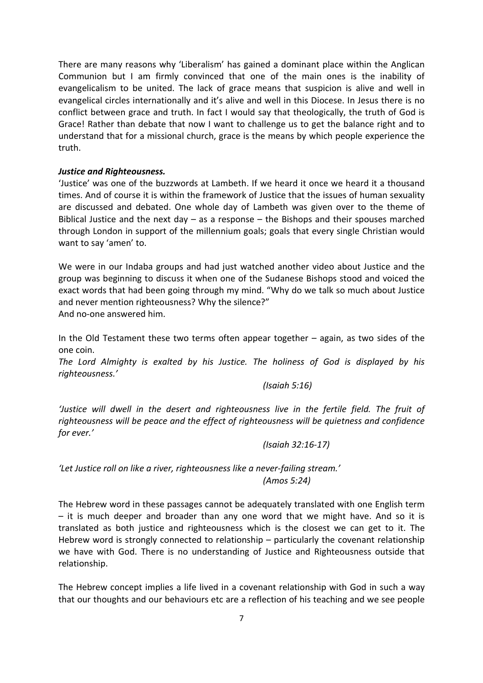There are many reasons why 'Liberalism' has gained a dominant place within the Anglican Communion but I am firmly convinced that one of the main ones is the inability of evangelicalism to be united. The lack of grace means that suspicion is alive and well in evangelical circles internationally and it's alive and well in this Diocese. In Jesus there is no conflict between grace and truth. In fact I would say that theologically, the truth of God is Grace! Rather than debate that now I want to challenge us to get the balance right and to understand that for a missional church, grace is the means by which people experience the truth.

# Justice and Righteousness.

'Justice' was one of the buzzwords at Lambeth. If we heard it once we heard it a thousand times. And of course it is within the framework of Justice that the issues of human sexuality are discussed and debated. One whole day of Lambeth was given over to the theme of Biblical Justice and the next day  $-$  as a response  $-$  the Bishops and their spouses marched through London in support of the millennium goals; goals that every single Christian would want to say 'amen' to.

We were in our Indaba groups and had just watched another video about Justice and the group was beginning to discuss it when one of the Sudanese Bishops stood and voiced the exact words that had been going through my mind. "Why do we talk so much about Justice and never mention righteousness? Why the silence?"

And no-one answered him.

In the Old Testament these two terms often appear together – again, as two sides of the one coin.

The Lord Almighty is exalted by his Justice. The holiness of God is displayed by his righteousness.'

(Isaiah 5:16)

'Justice will dwell in the desert and righteousness live in the fertile field. The fruit of righteousness will be peace and the effect of righteousness will be quietness and confidence for ever.'

(Isaiah 32:16-17)

'Let Justice roll on like a river, righteousness like a never-failing stream.' (Amos 5:24)

The Hebrew word in these passages cannot be adequately translated with one English term – it is much deeper and broader than any one word that we might have. And so it is translated as both justice and righteousness which is the closest we can get to it. The Hebrew word is strongly connected to relationship – particularly the covenant relationship we have with God. There is no understanding of Justice and Righteousness outside that relationship.

The Hebrew concept implies a life lived in a covenant relationship with God in such a way that our thoughts and our behaviours etc are a reflection of his teaching and we see people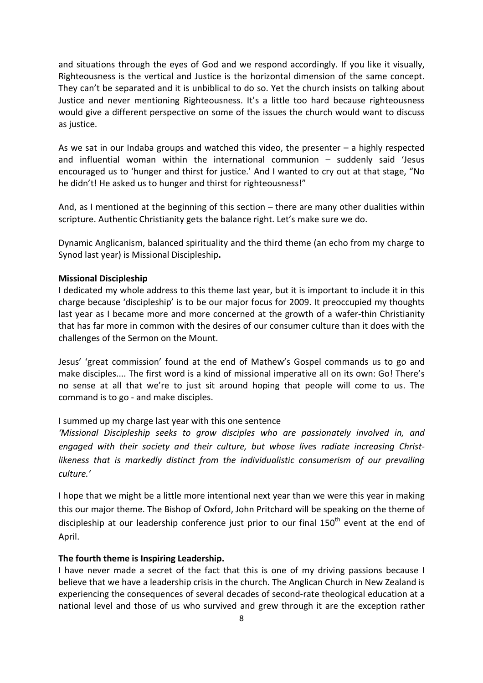and situations through the eyes of God and we respond accordingly. If you like it visually, Righteousness is the vertical and Justice is the horizontal dimension of the same concept. They can't be separated and it is unbiblical to do so. Yet the church insists on talking about Justice and never mentioning Righteousness. It's a little too hard because righteousness would give a different perspective on some of the issues the church would want to discuss as justice.

As we sat in our Indaba groups and watched this video, the presenter  $-$  a highly respected and influential woman within the international communion – suddenly said 'Jesus encouraged us to 'hunger and thirst for justice.' And I wanted to cry out at that stage, "No he didn't! He asked us to hunger and thirst for righteousness!"

And, as I mentioned at the beginning of this section – there are many other dualities within scripture. Authentic Christianity gets the balance right. Let's make sure we do.

Dynamic Anglicanism, balanced spirituality and the third theme (an echo from my charge to Synod last year) is Missional Discipleship.

#### Missional Discipleship

I dedicated my whole address to this theme last year, but it is important to include it in this charge because 'discipleship' is to be our major focus for 2009. It preoccupied my thoughts last year as I became more and more concerned at the growth of a wafer-thin Christianity that has far more in common with the desires of our consumer culture than it does with the challenges of the Sermon on the Mount.

Jesus' 'great commission' found at the end of Mathew's Gospel commands us to go and make disciples.... The first word is a kind of missional imperative all on its own: Go! There's no sense at all that we're to just sit around hoping that people will come to us. The command is to go - and make disciples.

#### I summed up my charge last year with this one sentence

'Missional Discipleship seeks to grow disciples who are passionately involved in, and engaged with their society and their culture, but whose lives radiate increasing Christlikeness that is markedly distinct from the individualistic consumerism of our prevailing culture.'

I hope that we might be a little more intentional next year than we were this year in making this our major theme. The Bishop of Oxford, John Pritchard will be speaking on the theme of discipleship at our leadership conference just prior to our final  $150<sup>th</sup>$  event at the end of April.

#### The fourth theme is Inspiring Leadership.

I have never made a secret of the fact that this is one of my driving passions because I believe that we have a leadership crisis in the church. The Anglican Church in New Zealand is experiencing the consequences of several decades of second-rate theological education at a national level and those of us who survived and grew through it are the exception rather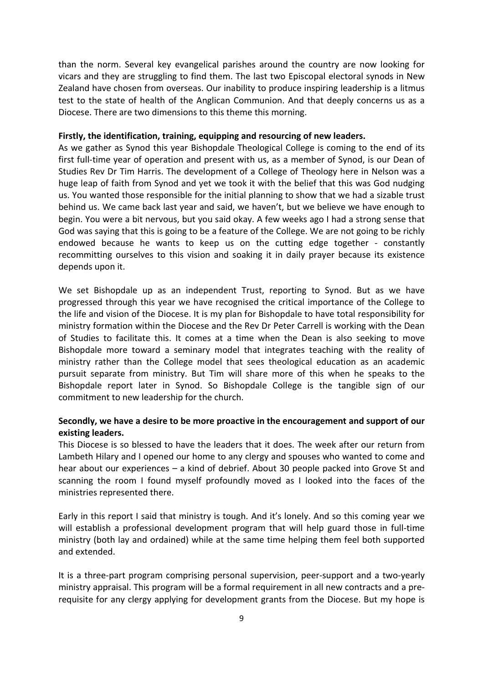than the norm. Several key evangelical parishes around the country are now looking for vicars and they are struggling to find them. The last two Episcopal electoral synods in New Zealand have chosen from overseas. Our inability to produce inspiring leadership is a litmus test to the state of health of the Anglican Communion. And that deeply concerns us as a Diocese. There are two dimensions to this theme this morning.

## Firstly, the identification, training, equipping and resourcing of new leaders.

As we gather as Synod this year Bishopdale Theological College is coming to the end of its first full-time year of operation and present with us, as a member of Synod, is our Dean of Studies Rev Dr Tim Harris. The development of a College of Theology here in Nelson was a huge leap of faith from Synod and yet we took it with the belief that this was God nudging us. You wanted those responsible for the initial planning to show that we had a sizable trust behind us. We came back last year and said, we haven't, but we believe we have enough to begin. You were a bit nervous, but you said okay. A few weeks ago I had a strong sense that God was saying that this is going to be a feature of the College. We are not going to be richly endowed because he wants to keep us on the cutting edge together - constantly recommitting ourselves to this vision and soaking it in daily prayer because its existence depends upon it.

We set Bishopdale up as an independent Trust, reporting to Synod. But as we have progressed through this year we have recognised the critical importance of the College to the life and vision of the Diocese. It is my plan for Bishopdale to have total responsibility for ministry formation within the Diocese and the Rev Dr Peter Carrell is working with the Dean of Studies to facilitate this. It comes at a time when the Dean is also seeking to move Bishopdale more toward a seminary model that integrates teaching with the reality of ministry rather than the College model that sees theological education as an academic pursuit separate from ministry. But Tim will share more of this when he speaks to the Bishopdale report later in Synod. So Bishopdale College is the tangible sign of our commitment to new leadership for the church.

# Secondly, we have a desire to be more proactive in the encouragement and support of our existing leaders.

This Diocese is so blessed to have the leaders that it does. The week after our return from Lambeth Hilary and I opened our home to any clergy and spouses who wanted to come and hear about our experiences – a kind of debrief. About 30 people packed into Grove St and scanning the room I found myself profoundly moved as I looked into the faces of the ministries represented there.

Early in this report I said that ministry is tough. And it's lonely. And so this coming year we will establish a professional development program that will help guard those in full-time ministry (both lay and ordained) while at the same time helping them feel both supported and extended.

It is a three-part program comprising personal supervision, peer-support and a two-yearly ministry appraisal. This program will be a formal requirement in all new contracts and a prerequisite for any clergy applying for development grants from the Diocese. But my hope is